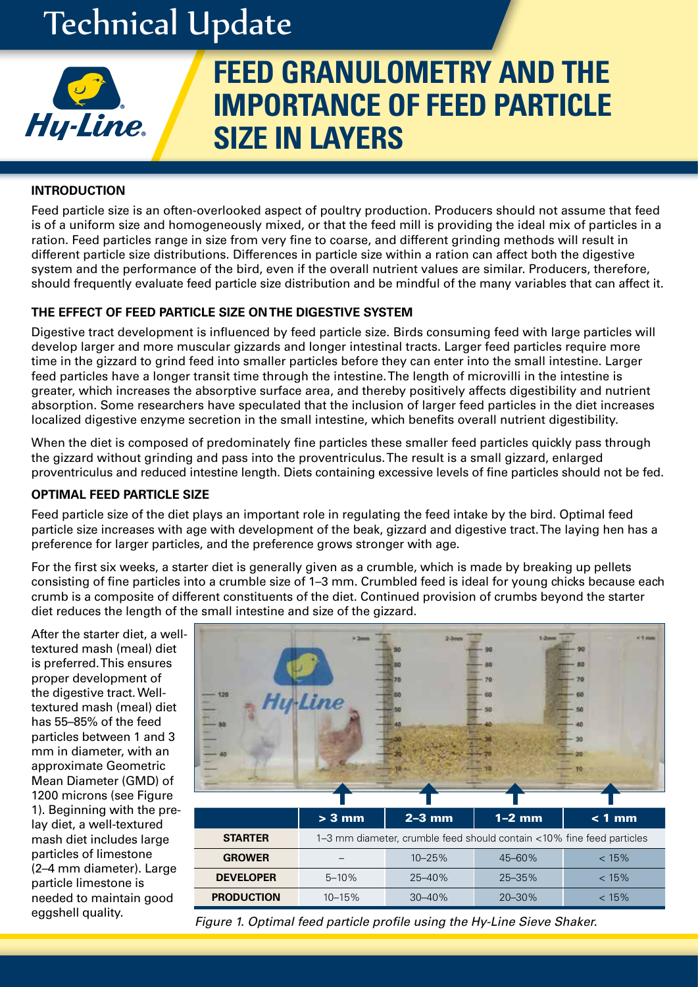# Technical Update



# **FEED GRANULOMETRY AND THE IMPORTANCE OF FEED PARTICLE SIZE IN LAYERS**

## **INTRODUCTION**

Feed particle size is an often-overlooked aspect of poultry production. Producers should not assume that feed is of a uniform size and homogeneously mixed, or that the feed mill is providing the ideal mix of particles in a ration. Feed particles range in size from very fine to coarse, and different grinding methods will result in different particle size distributions. Differences in particle size within a ration can affect both the digestive system and the performance of the bird, even if the overall nutrient values are similar. Producers, therefore, should frequently evaluate feed particle size distribution and be mindful of the many variables that can affect it.

# **THE EFFECT OF FEED PARTICLE SIZE ON THE DIGESTIVE SYSTEM**

Digestive tract development is influenced by feed particle size. Birds consuming feed with large particles will develop larger and more muscular gizzards and longer intestinal tracts. Larger feed particles require more time in the gizzard to grind feed into smaller particles before they can enter into the small intestine. Larger feed particles have a longer transit time through the intestine. The length of microvilli in the intestine is greater, which increases the absorptive surface area, and thereby positively affects digestibility and nutrient absorption. Some researchers have speculated that the inclusion of larger feed particles in the diet increases localized digestive enzyme secretion in the small intestine, which benefits overall nutrient digestibility.

When the diet is composed of predominately fine particles these smaller feed particles quickly pass through the gizzard without grinding and pass into the proventriculus. The result is a small gizzard, enlarged proventriculus and reduced intestine length. Diets containing excessive levels of fine particles should not be fed.

#### **OPTIMAL FEED PARTICLE SIZE**

Feed particle size of the diet plays an important role in regulating the feed intake by the bird. Optimal feed particle size increases with age with development of the beak, gizzard and digestive tract. The laying hen has a preference for larger particles, and the preference grows stronger with age.

For the first six weeks, a starter diet is generally given as a crumble, which is made by breaking up pellets consisting of fine particles into a crumble size of 1–3 mm. Crumbled feed is ideal for young chicks because each crumb is a composite of different constituents of the diet. Continued provision of crumbs beyond the starter diet reduces the length of the small intestine and size of the gizzard.

After the starter diet, a welltextured mash (meal) diet is preferred. This ensures proper development of the digestive tract. Welltextured mash (meal) diet has 55–85% of the feed particles between 1 and 3 mm in diameter, with an approximate Geometric Mean Diameter (GMD) of 1200 microns (see Figure 1). Beginning with the prelay diet, a well-textured mash diet includes large particles of limestone (2–4 mm diameter). Large particle limestone is needed to maintain good



|                   | $> 3$ mm                                                              | $2-3$ mm    | $1-2$ mm    | $< 1$ mm |
|-------------------|-----------------------------------------------------------------------|-------------|-------------|----------|
| <b>STARTER</b>    | 1–3 mm diameter, crumble feed should contain <10% fine feed particles |             |             |          |
| <b>GROWER</b>     |                                                                       | $10 - 25%$  | $45 - 60%$  | $< 15\%$ |
| <b>DEVELOPER</b>  | $5 - 10\%$                                                            | $25 - 40%$  | $25 - 35\%$ | $< 15\%$ |
| <b>PRODUCTION</b> | $10 - 15%$                                                            | $30 - 40\%$ | $20 - 30\%$ | $< 15\%$ |
|                   |                                                                       |             |             |          |

eggshell quality. *Figure 1. Optimal feed particle profile using the Hy-Line Sieve Shaker.*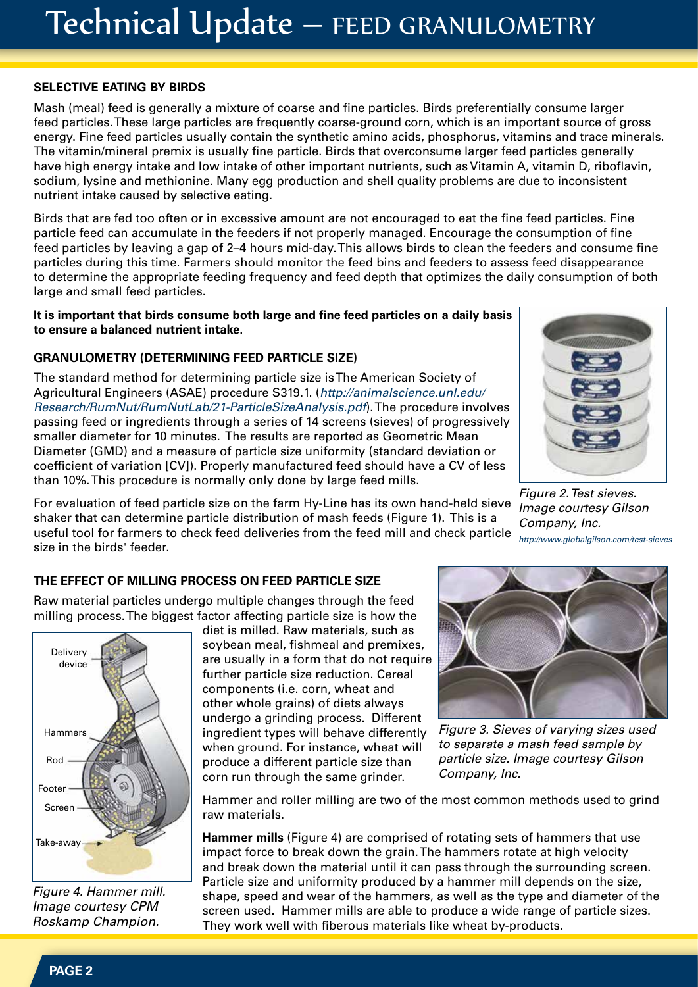# Technical Update – FEED GRANULOMETRY

#### **SELECTIVE EATING BY BIRDS**

Mash (meal) feed is generally a mixture of coarse and fine particles. Birds preferentially consume larger feed particles. These large particles are frequently coarse-ground corn, which is an important source of gross energy. Fine feed particles usually contain the synthetic amino acids, phosphorus, vitamins and trace minerals. The vitamin/mineral premix is usually fine particle. Birds that overconsume larger feed particles generally have high energy intake and low intake of other important nutrients, such as Vitamin A, vitamin D, riboflavin, sodium, lysine and methionine. Many egg production and shell quality problems are due to inconsistent nutrient intake caused by selective eating.

Birds that are fed too often or in excessive amount are not encouraged to eat the fine feed particles. Fine particle feed can accumulate in the feeders if not properly managed. Encourage the consumption of fine feed particles by leaving a gap of 2–4 hours mid-day. This allows birds to clean the feeders and consume fine particles during this time. Farmers should monitor the feed bins and feeders to assess feed disappearance to determine the appropriate feeding frequency and feed depth that optimizes the daily consumption of both large and small feed particles.

**It is important that birds consume both large and fine feed particles on a daily basis to ensure a balanced nutrient intake.** 

### **GRANULOMETRY (DETERMINING FEED PARTICLE SIZE)**

The standard method for determining particle size is The American Society of Agricultural Engineers (ASAE) procedure S319.1. (*http://animalscience.unl.edu/ Research/RumNut/RumNutLab/21-ParticleSizeAnalysis.pdf*). The procedure involves passing feed or ingredients through a series of 14 screens (sieves) of progressively smaller diameter for 10 minutes. The results are reported as Geometric Mean Diameter (GMD) and a measure of particle size uniformity (standard deviation or coefficient of variation [CV]). Properly manufactured feed should have a CV of less than 10%. This procedure is normally only done by large feed mills.

For evaluation of feed particle size on the farm Hy-Line has its own hand-held sieve shaker that can determine particle distribution of mash feeds (Figure 1). This is a useful tool for farmers to check feed deliveries from the feed mill and check particle size in the birds' feeder.



*Figure 2. Test sieves. Image courtesy Gilson Company, Inc. http://www.globalgilson.com/test-sieves*

# **THE EFFECT OF MILLING PROCESS ON FEED PARTICLE SIZE**

Raw material particles undergo multiple changes through the feed milling process. The biggest factor affecting particle size is how the



*Figure 4. Hammer mill. Image courtesy CPM Roskamp Champion.*

diet is milled. Raw materials, such as soybean meal, fishmeal and premixes, are usually in a form that do not require further particle size reduction. Cereal components (i.e. corn, wheat and other whole grains) of diets always undergo a grinding process. Different ingredient types will behave differently when ground. For instance, wheat will produce a different particle size than corn run through the same grinder.



*Figure 3. Sieves of varying sizes used to separate a mash feed sample by particle size. Image courtesy Gilson Company, Inc.*

Hammer and roller milling are two of the most common methods used to grind raw materials.

**Hammer mills** (Figure 4) are comprised of rotating sets of hammers that use impact force to break down the grain. The hammers rotate at high velocity and break down the material until it can pass through the surrounding screen. Particle size and uniformity produced by a hammer mill depends on the size, shape, speed and wear of the hammers, as well as the type and diameter of the screen used. Hammer mills are able to produce a wide range of particle sizes. They work well with fiberous materials like wheat by-products.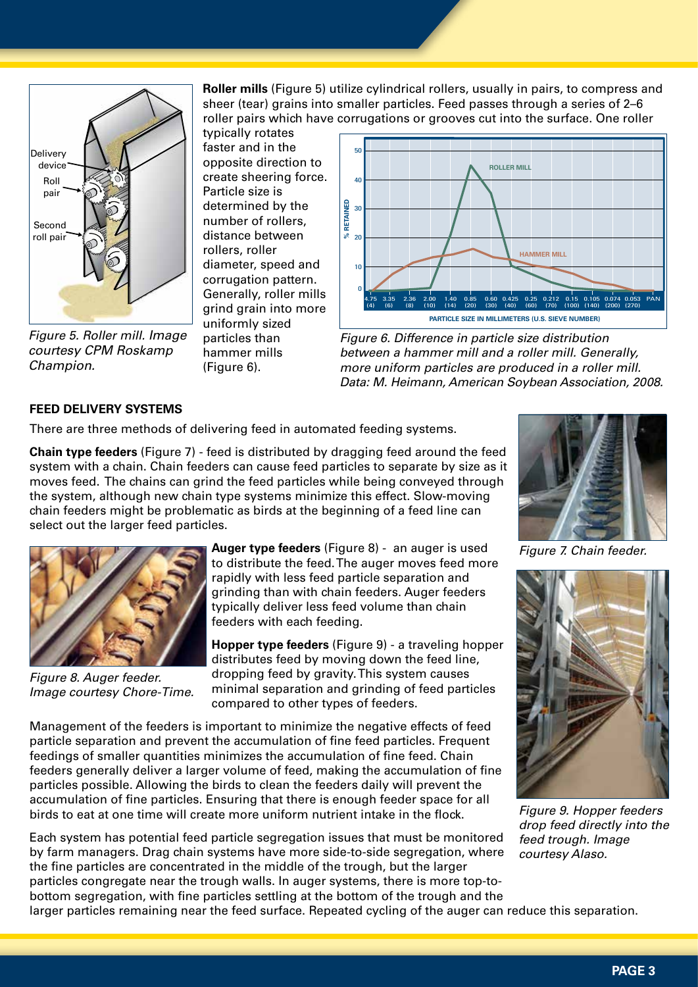

*Figure 5. Roller mill. Image courtesy CPM Roskamp Champion.*

typically rotates faster and in the opposite direction to create sheering force. Particle size is determined by the number of rollers, distance between rollers, roller diameter, speed and corrugation pattern. Generally, roller mills grind grain into more uniformly sized particles than hammer mills (Figure 6).



**Roller mills** (Figure 5) utilize cylindrical rollers, usually in pairs, to compress and sheer (tear) grains into smaller particles. Feed passes through a series of 2–6

> *Figure 6. Difference in particle size distribution between a hammer mill and a roller mill. Generally, more uniform particles are produced in a roller mill. Data: M. Heimann, American Soybean Association, 2008.*

#### **FEED DELIVERY SYSTEMS**

There are three methods of delivering feed in automated feeding systems.

**Chain type feeders** (Figure 7) - feed is distributed by dragging feed around the feed system with a chain. Chain feeders can cause feed particles to separate by size as it moves feed. The chains can grind the feed particles while being conveyed through the system, although new chain type systems minimize this effect. Slow-moving chain feeders might be problematic as birds at the beginning of a feed line can select out the larger feed particles.



*Figure 8. Auger feeder. Image courtesy Chore-Time.*

**Auger type feeders** (Figure 8) - an auger is used to distribute the feed. The auger moves feed more rapidly with less feed particle separation and grinding than with chain feeders. Auger feeders typically deliver less feed volume than chain feeders with each feeding.

**Hopper type feeders** (Figure 9) - a traveling hopper distributes feed by moving down the feed line, dropping feed by gravity. This system causes minimal separation and grinding of feed particles compared to other types of feeders.

Management of the feeders is important to minimize the negative effects of feed particle separation and prevent the accumulation of fine feed particles. Frequent feedings of smaller quantities minimizes the accumulation of fine feed. Chain feeders generally deliver a larger volume of feed, making the accumulation of fine particles possible. Allowing the birds to clean the feeders daily will prevent the accumulation of fine particles. Ensuring that there is enough feeder space for all birds to eat at one time will create more uniform nutrient intake in the flock.

Each system has potential feed particle segregation issues that must be monitored by farm managers. Drag chain systems have more side-to-side segregation, where the fine particles are concentrated in the middle of the trough, but the larger particles congregate near the trough walls. In auger systems, there is more top-tobottom segregation, with fine particles settling at the bottom of the trough and the



*Figure 7. Chain feeder.*



*Figure 9. Hopper feeders drop feed directly into the feed trough. Image courtesy Alaso.*

larger particles remaining near the feed surface. Repeated cycling of the auger can reduce this separation.